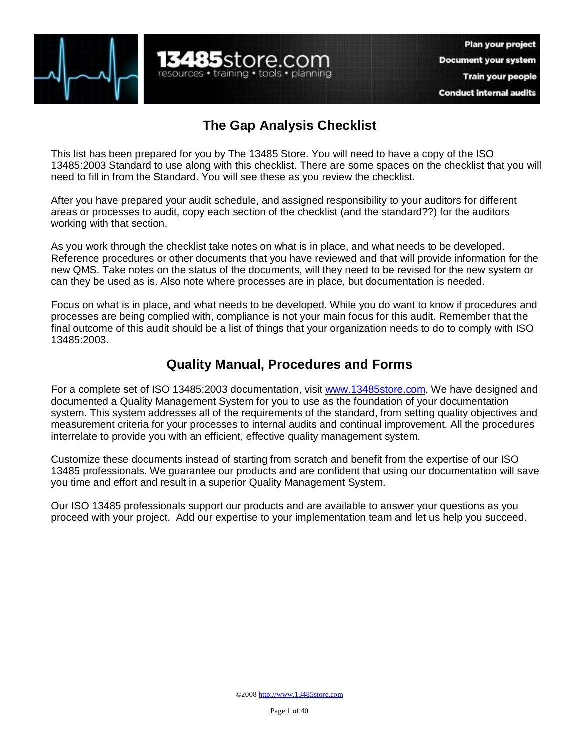

## **The Gap Analysis Checklist**

**13485**store.com

resources • training • tools • planning

This list has been prepared for you by The 13485 Store. You will need to have a copy of the ISO 13485:2003 Standard to use along with this checklist. There are some spaces on the checklist that you will need to fill in from the Standard. You will see these as you review the checklist.

After you have prepared your audit schedule, and assigned responsibility to your auditors for different areas or processes to audit, copy each section of the checklist (and the standard??) for the auditors working with that section.

As you work through the checklist take notes on what is in place, and what needs to be developed. Reference procedures or other documents that you have reviewed and that will provide information for the new QMS. Take notes on the status of the documents, will they need to be revised for the new system or can they be used as is. Also note where processes are in place, but documentation is needed.

Focus on what is in place, and what needs to be developed. While you do want to know if procedures and processes are being complied with, compliance is not your main focus for this audit. Remember that the final outcome of this audit should be a list of things that your organization needs to do to comply with ISO 13485:2003.

## **Quality Manual, Procedures and Forms**

For a complete set of ISO 13485:2003 documentation, visit [www.13485store.com,](http://www.13485store.com) We have designed and documented a Quality Management System for you to use as the foundation of your documentation system. This system addresses all of the requirements of the standard, from setting quality objectives and measurement criteria for your processes to internal audits and continual improvement. All the procedures interrelate to provide you with an efficient, effective quality management system.

Customize these documents instead of starting from scratch and benefit from the expertise of our ISO 13485 professionals. We guarantee our products and are confident that using our documentation will save you time and effort and result in a superior Quality Management System.

Our ISO 13485 professionals support our products and are available to answer your questions as you proceed with your project. Add our expertise to your implementation team and let us help you succeed.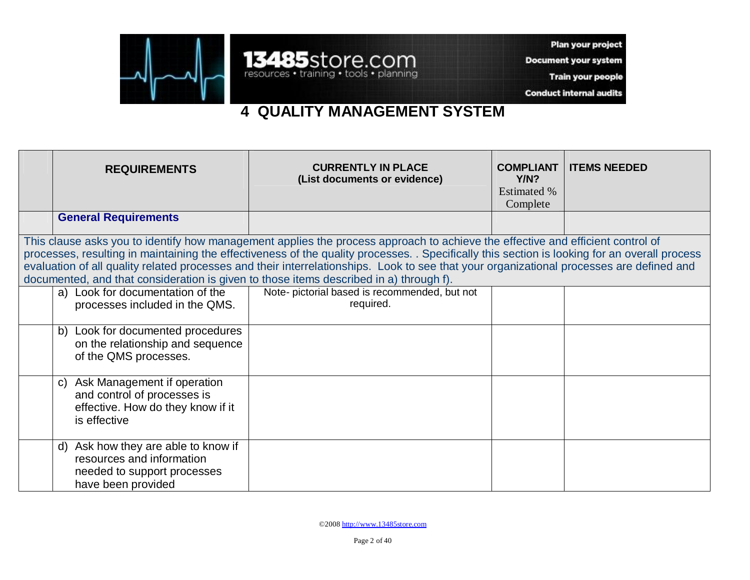

Plan your project

**Document your system** 

Train your people

**Conduct internal audits** 

## **4 QUALITY MANAGEMENT SYSTEM**

13485store.com

| <b>REQUIREMENTS</b>                                                                                                                                                                                                                                                                                                                                                                                                                                                                                                   | <b>CURRENTLY IN PLACE</b><br>(List documents or evidence)  | <b>COMPLIANT</b><br>Y/N?<br><b>Estimated %</b><br>Complete | <b>ITEMS NEEDED</b> |  |
|-----------------------------------------------------------------------------------------------------------------------------------------------------------------------------------------------------------------------------------------------------------------------------------------------------------------------------------------------------------------------------------------------------------------------------------------------------------------------------------------------------------------------|------------------------------------------------------------|------------------------------------------------------------|---------------------|--|
| <b>General Requirements</b>                                                                                                                                                                                                                                                                                                                                                                                                                                                                                           |                                                            |                                                            |                     |  |
| This clause asks you to identify how management applies the process approach to achieve the effective and efficient control of<br>processes, resulting in maintaining the effectiveness of the quality processes. . Specifically this section is looking for an overall process<br>evaluation of all quality related processes and their interrelationships. Look to see that your organizational processes are defined and<br>documented, and that consideration is given to those items described in a) through f). |                                                            |                                                            |                     |  |
| a) Look for documentation of the<br>processes included in the QMS.                                                                                                                                                                                                                                                                                                                                                                                                                                                    | Note- pictorial based is recommended, but not<br>required. |                                                            |                     |  |
| b) Look for documented procedures<br>on the relationship and sequence<br>of the QMS processes.                                                                                                                                                                                                                                                                                                                                                                                                                        |                                                            |                                                            |                     |  |
| Ask Management if operation<br>$\mathbf{C}$<br>and control of processes is<br>effective. How do they know if it<br>is effective                                                                                                                                                                                                                                                                                                                                                                                       |                                                            |                                                            |                     |  |
| d) Ask how they are able to know if<br>resources and information<br>needed to support processes<br>have been provided                                                                                                                                                                                                                                                                                                                                                                                                 |                                                            |                                                            |                     |  |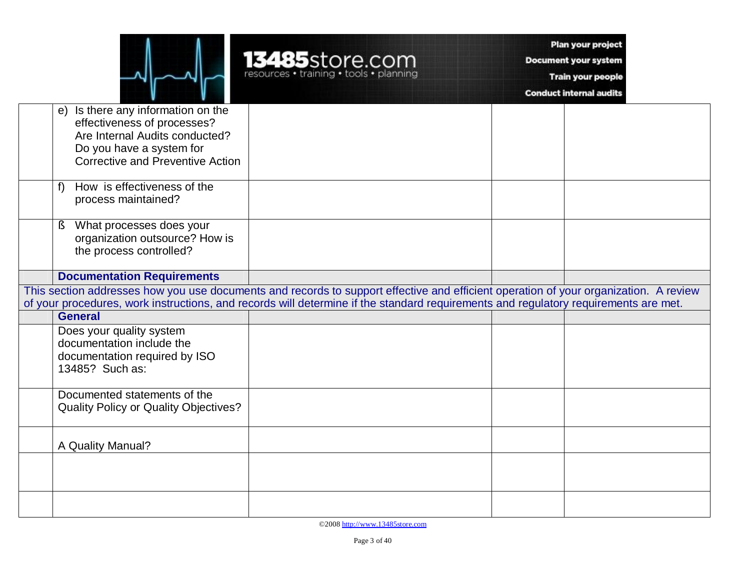|  | 485store.com<br>resources • training • tools • planning |
|--|---------------------------------------------------------|
|  |                                                         |

Plan your project

Document your system

Train your people

**Conduct internal audits** 

| e) Is there any information on the           |                                                                                                                                      |  |
|----------------------------------------------|--------------------------------------------------------------------------------------------------------------------------------------|--|
| effectiveness of processes?                  |                                                                                                                                      |  |
| Are Internal Audits conducted?               |                                                                                                                                      |  |
| Do you have a system for                     |                                                                                                                                      |  |
| <b>Corrective and Preventive Action</b>      |                                                                                                                                      |  |
|                                              |                                                                                                                                      |  |
|                                              |                                                                                                                                      |  |
| How is effectiveness of the<br>f             |                                                                                                                                      |  |
| process maintained?                          |                                                                                                                                      |  |
|                                              |                                                                                                                                      |  |
| What processes does your<br>ş                |                                                                                                                                      |  |
| organization outsource? How is               |                                                                                                                                      |  |
| the process controlled?                      |                                                                                                                                      |  |
|                                              |                                                                                                                                      |  |
| <b>Documentation Requirements</b>            |                                                                                                                                      |  |
|                                              | This section addresses how you use documents and records to support effective and efficient operation of your organization. A review |  |
|                                              | of your procedures, work instructions, and records will determine if the standard requirements and regulatory requirements are met.  |  |
|                                              |                                                                                                                                      |  |
|                                              |                                                                                                                                      |  |
| <b>General</b>                               |                                                                                                                                      |  |
| Does your quality system                     |                                                                                                                                      |  |
| documentation include the                    |                                                                                                                                      |  |
| documentation required by ISO                |                                                                                                                                      |  |
| 13485? Such as:                              |                                                                                                                                      |  |
|                                              |                                                                                                                                      |  |
| Documented statements of the                 |                                                                                                                                      |  |
| <b>Quality Policy or Quality Objectives?</b> |                                                                                                                                      |  |
|                                              |                                                                                                                                      |  |
|                                              |                                                                                                                                      |  |
| A Quality Manual?                            |                                                                                                                                      |  |
|                                              |                                                                                                                                      |  |
|                                              |                                                                                                                                      |  |
|                                              |                                                                                                                                      |  |
|                                              |                                                                                                                                      |  |

©2008<http://www.13485store.com>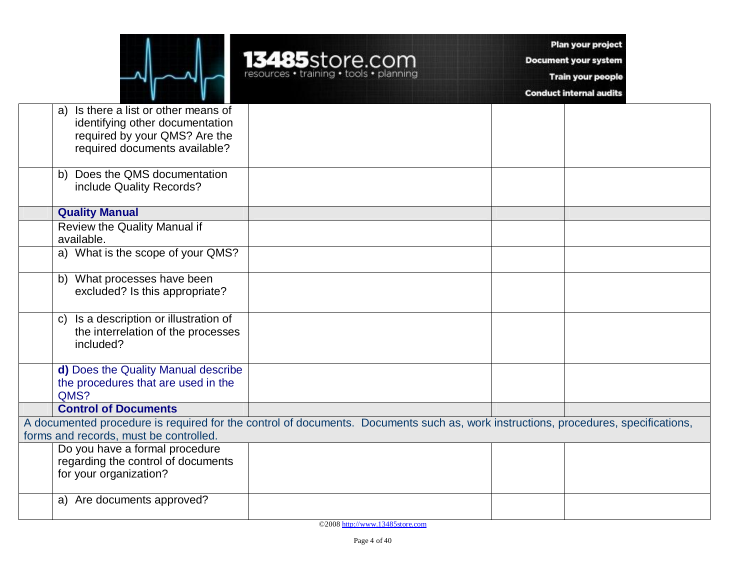13485store.com

Plan your project

**Document your system** 

Train your people

**Conduct internal audits** 

|                                                                                                                                    | a) Is there a list or other means of      |  |  |  |
|------------------------------------------------------------------------------------------------------------------------------------|-------------------------------------------|--|--|--|
|                                                                                                                                    | identifying other documentation           |  |  |  |
|                                                                                                                                    | required by your QMS? Are the             |  |  |  |
|                                                                                                                                    | required documents available?             |  |  |  |
|                                                                                                                                    | Does the QMS documentation<br>b)          |  |  |  |
|                                                                                                                                    | include Quality Records?                  |  |  |  |
|                                                                                                                                    | <b>Quality Manual</b>                     |  |  |  |
|                                                                                                                                    | Review the Quality Manual if              |  |  |  |
|                                                                                                                                    | available.                                |  |  |  |
|                                                                                                                                    | a) What is the scope of your QMS?         |  |  |  |
|                                                                                                                                    | b) What processes have been               |  |  |  |
|                                                                                                                                    | excluded? Is this appropriate?            |  |  |  |
|                                                                                                                                    |                                           |  |  |  |
|                                                                                                                                    | Is a description or illustration of<br>C) |  |  |  |
|                                                                                                                                    | the interrelation of the processes        |  |  |  |
|                                                                                                                                    | included?                                 |  |  |  |
|                                                                                                                                    | d) Does the Quality Manual describe       |  |  |  |
|                                                                                                                                    | the procedures that are used in the       |  |  |  |
|                                                                                                                                    | QMS?                                      |  |  |  |
|                                                                                                                                    | <b>Control of Documents</b>               |  |  |  |
| A documented procedure is required for the control of documents. Documents such as, work instructions, procedures, specifications, |                                           |  |  |  |
|                                                                                                                                    | forms and records, must be controlled.    |  |  |  |
|                                                                                                                                    | Do you have a formal procedure            |  |  |  |
|                                                                                                                                    | regarding the control of documents        |  |  |  |
|                                                                                                                                    | for your organization?                    |  |  |  |
|                                                                                                                                    | a) Are documents approved?                |  |  |  |
|                                                                                                                                    |                                           |  |  |  |

©2008<http://www.13485store.com>